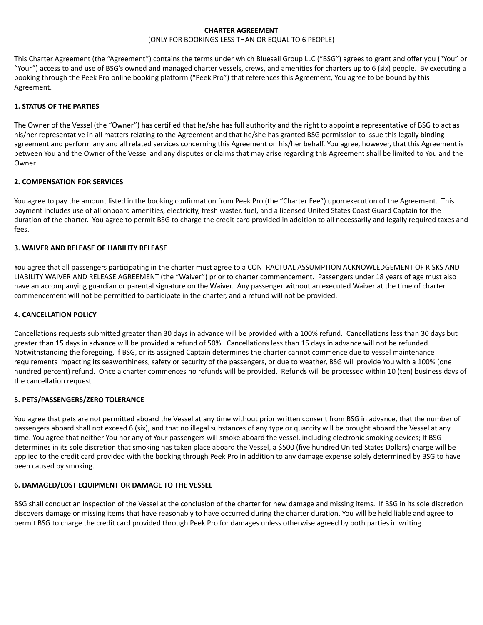## **CHARTER AGREEMENT**

### (ONLY FOR BOOKINGS LESS THAN OR EQUAL TO 6 PEOPLE)

This Charter Agreement (the "Agreement") contains the terms under which Bluesail Group LLC ("BSG") agrees to grant and offer you ("You" or "Your") access to and use of BSG's owned and managed charter vessels, crews, and amenities for charters up to 6 (six) people. By executing a booking through the Peek Pro online booking platform ("Peek Pro") that references this Agreement, You agree to be bound by this Agreement.

## **1. STATUS OF THE PARTIES**

The Owner of the Vessel (the "Owner") has certified that he/she has full authority and the right to appoint a representative of BSG to act as his/her representative in all matters relating to the Agreement and that he/she has granted BSG permission to issue this legally binding agreement and perform any and all related services concerning this Agreement on his/her behalf. You agree, however, that this Agreement is between You and the Owner of the Vessel and any disputes or claims that may arise regarding this Agreement shall be limited to You and the **Owner** 

## **2. COMPENSATION FOR SERVICES**

You agree to pay the amount listed in the booking confirmation from Peek Pro (the "Charter Fee") upon execution of the Agreement. This payment includes use of all onboard amenities, electricity, fresh waster, fuel, and a licensed United States Coast Guard Captain for the duration of the charter. You agree to permit BSG to charge the credit card provided in addition to all necessarily and legally required taxes and fees.

## **3. WAIVER AND RELEASE OF LIABILITY RELEASE**

You agree that all passengers participating in the charter must agree to a CONTRACTUAL ASSUMPTION ACKNOWLEDGEMENT OF RISKS AND LIABILITY WAIVER AND RELEASE AGREEMENT (the "Waiver") prior to charter commencement. Passengers under 18 years of age must also have an accompanying guardian or parental signature on the Waiver. Any passenger without an executed Waiver at the time of charter commencement will not be permitted to participate in the charter, and a refund will not be provided.

### **4. CANCELLATION POLICY**

Cancellations requests submitted greater than 30 days in advance will be provided with a 100% refund. Cancellations less than 30 days but greater than 15 days in advance will be provided a refund of 50%. Cancellations less than 15 days in advance will not be refunded. Notwithstanding the foregoing, if BSG, or its assigned Captain determines the charter cannot commence due to vessel maintenance requirements impacting its seaworthiness, safety or security of the passengers, or due to weather, BSG will provide You with a 100% (one hundred percent) refund. Once a charter commences no refunds will be provided. Refunds will be processed within 10 (ten) business days of the cancellation request.

#### **5. PETS/PASSENGERS/ZERO TOLERANCE**

You agree that pets are not permitted aboard the Vessel at any time without prior written consent from BSG in advance, that the number of passengers aboard shall not exceed 6 (six), and that no illegal substances of any type or quantity will be brought aboard the Vessel at any time. You agree that neither You nor any of Your passengers will smoke aboard the vessel, including electronic smoking devices; If BSG determines in its sole discretion that smoking has taken place aboard the Vessel, a \$500 (five hundred United States Dollars) charge will be applied to the credit card provided with the booking through Peek Pro in addition to any damage expense solely determined by BSG to have been caused by smoking.

#### **6. DAMAGED/LOST EQUIPMENT OR DAMAGE TO THE VESSEL**

BSG shall conduct an inspection of the Vessel at the conclusion of the charter for new damage and missing items. If BSG in its sole discretion discovers damage or missing items that have reasonably to have occurred during the charter duration, You will be held liable and agree to permit BSG to charge the credit card provided through Peek Pro for damages unless otherwise agreed by both parties in writing.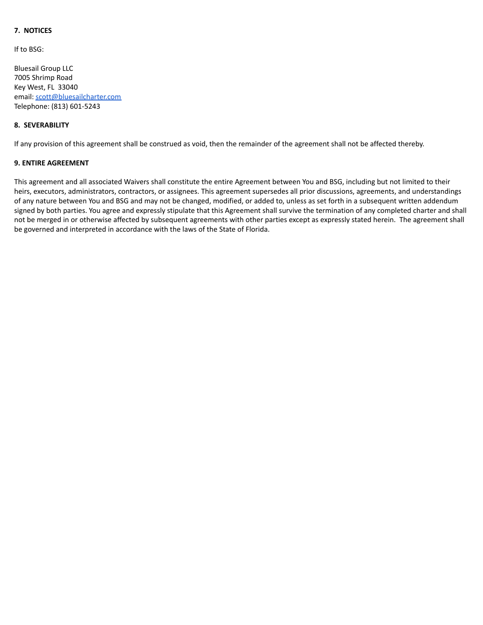# **7. NOTICES**

If to BSG:

Bluesail Group LLC 7005 Shrimp Road Key West, FL 33040 email: [scott@bluesailcharter.com](mailto:scott@bluesailcharter.com) Telephone: (813) 601-5243

## **8. SEVERABILITY**

If any provision of this agreement shall be construed as void, then the remainder of the agreement shall not be affected thereby.

## **9. ENTIRE AGREEMENT**

This agreement and all associated Waivers shall constitute the entire Agreement between You and BSG, including but not limited to their heirs, executors, administrators, contractors, or assignees. This agreement supersedes all prior discussions, agreements, and understandings of any nature between You and BSG and may not be changed, modified, or added to, unless as set forth in a subsequent written addendum signed by both parties. You agree and expressly stipulate that this Agreement shall survive the termination of any completed charter and shall not be merged in or otherwise affected by subsequent agreements with other parties except as expressly stated herein. The agreement shall be governed and interpreted in accordance with the laws of the State of Florida.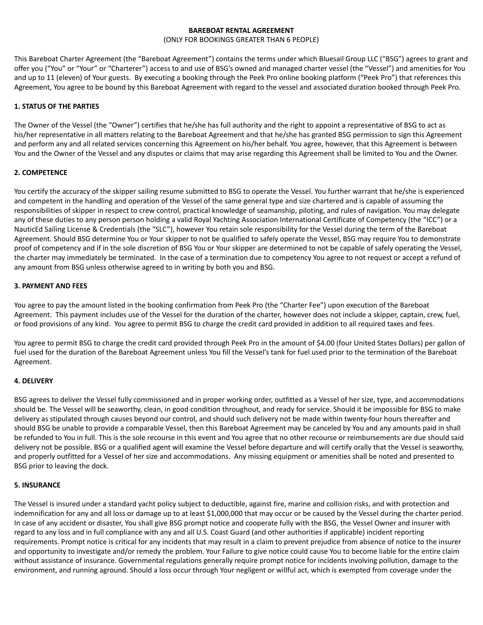## **BAREBOAT RENTAL AGREEMENT**

(ONLY FOR BOOKINGS GREATER THAN 6 PEOPLE)

This Bareboat Charter Agreement (the "Bareboat Agreement") contains the terms under which Bluesail Group LLC ("BSG") agrees to grant and offer you ("You" or "Your" or "Charterer") access to and use of BSG's owned and managed charter vessel (the "Vessel") and amenities for You and up to 11 (eleven) of Your guests. By executing a booking through the Peek Pro online booking platform ("Peek Pro") that references this Agreement, You agree to be bound by this Bareboat Agreement with regard to the vessel and associated duration booked through Peek Pro.

## **1. STATUS OF THE PARTIES**

The Owner of the Vessel (the "Owner") certifies that he/she has full authority and the right to appoint a representative of BSG to act as his/her representative in all matters relating to the Bareboat Agreement and that he/she has granted BSG permission to sign this Agreement and perform any and all related services concerning this Agreement on his/her behalf. You agree, however, that this Agreement is between You and the Owner of the Vessel and any disputes or claims that may arise regarding this Agreement shall be limited to You and the Owner.

## **2. COMPETENCE**

You certify the accuracy of the skipper sailing resume submitted to BSG to operate the Vessel. You further warrant that he/she is experienced and competent in the handling and operation of the Vessel of the same general type and size chartered and is capable of assuming the responsibilities of skipper in respect to crew control, practical knowledge of seamanship, piloting, and rules of navigation. You may delegate any of these duties to any person person holding a valid Royal Yachting Association International Certificate of Competency (the "ICC") or a NauticEd Sailing License & Credentials (the "SLC"), however You retain sole responsibility for the Vessel during the term of the Bareboat Agreement. Should BSG determine You or Your skipper to not be qualified to safely operate the Vessel, BSG may require You to demonstrate proof of competency and if in the sole discretion of BSG You or Your skipper are determined to not be capable of safely operating the Vessel, the charter may immediately be terminated. In the case of a termination due to competency You agree to not request or accept a refund of any amount from BSG unless otherwise agreed to in writing by both you and BSG.

## **3. PAYMENT AND FEES**

You agree to pay the amount listed in the booking confirmation from Peek Pro (the "Charter Fee") upon execution of the Bareboat Agreement. This payment includes use of the Vessel for the duration of the charter, however does not include a skipper, captain, crew, fuel, or food provisions of any kind. You agree to permit BSG to charge the credit card provided in addition to all required taxes and fees.

You agree to permit BSG to charge the credit card provided through Peek Pro in the amount of \$4.00 (four United States Dollars) per gallon of fuel used for the duration of the Bareboat Agreement unless You fill the Vessel's tank for fuel used prior to the termination of the Bareboat Agreement.

#### **4. DELIVERY**

BSG agrees to deliver the Vessel fully commissioned and in proper working order, outfitted as a Vessel of her size, type, and accommodations should be. The Vessel will be seaworthy, clean, in good condition throughout, and ready for service. Should it be impossible for BSG to make delivery as stipulated through causes beyond our control, and should such delivery not be made within twenty-four hours thereafter and should BSG be unable to provide a comparable Vessel, then this Bareboat Agreement may be canceled by You and any amounts paid in shall be refunded to You in full. This is the sole recourse in this event and You agree that no other recourse or reimbursements are due should said delivery not be possible. BSG or a qualified agent will examine the Vessel before departure and will certify orally that the Vessel is seaworthy, and properly outfitted for a Vessel of her size and accommodations. Any missing equipment or amenities shall be noted and presented to BSG prior to leaving the dock.

#### **5. INSURANCE**

The Vessel is insured under a standard yacht policy subject to deductible, against fire, marine and collision risks, and with protection and indemnification for any and all loss or damage up to at least \$1,000,000 that may occur or be caused by the Vessel during the charter period. In case of any accident or disaster, You shall give BSG prompt notice and cooperate fully with the BSG, the Vessel Owner and insurer with regard to any loss and in full compliance with any and all U.S. Coast Guard (and other authorities if applicable) incident reporting requirements. Prompt notice is critical for any incidents that may result in a claim to prevent prejudice from absence of notice to the insurer and opportunity to investigate and/or remedy the problem. Your Failure to give notice could cause You to become liable for the entire claim without assistance of insurance. Governmental regulations generally require prompt notice for incidents involving pollution, damage to the environment, and running aground. Should a loss occur through Your negligent or willful act, which is exempted from coverage under the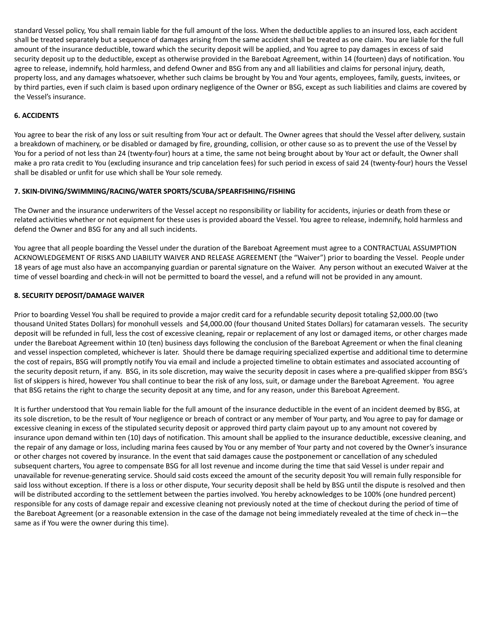standard Vessel policy, You shall remain liable for the full amount of the loss. When the deductible applies to an insured loss, each accident shall be treated separately but a sequence of damages arising from the same accident shall be treated as one claim. You are liable for the full amount of the insurance deductible, toward which the security deposit will be applied, and You agree to pay damages in excess of said security deposit up to the deductible, except as otherwise provided in the Bareboat Agreement, within 14 (fourteen) days of notification. You agree to release, indemnify, hold harmless, and defend Owner and BSG from any and all liabilities and claims for personal injury, death, property loss, and any damages whatsoever, whether such claims be brought by You and Your agents, employees, family, guests, invitees, or by third parties, even if such claim is based upon ordinary negligence of the Owner or BSG, except as such liabilities and claims are covered by the Vessel's insurance.

## **6. ACCIDENTS**

You agree to bear the risk of any loss or suit resulting from Your act or default. The Owner agrees that should the Vessel after delivery, sustain a breakdown of machinery, or be disabled or damaged by fire, grounding, collision, or other cause so as to prevent the use of the Vessel by You for a period of not less than 24 (twenty-four) hours at a time, the same not being brought about by Your act or default, the Owner shall make a pro rata credit to You (excluding insurance and trip cancelation fees) for such period in excess of said 24 (twenty-four) hours the Vessel shall be disabled or unfit for use which shall be Your sole remedy.

## **7. SKIN-DIVING/SWIMMING/RACING/WATER SPORTS/SCUBA/SPEARFISHING/FISHING**

The Owner and the insurance underwriters of the Vessel accept no responsibility or liability for accidents, injuries or death from these or related activities whether or not equipment for these uses is provided aboard the Vessel. You agree to release, indemnify, hold harmless and defend the Owner and BSG for any and all such incidents.

You agree that all people boarding the Vessel under the duration of the Bareboat Agreement must agree to a CONTRACTUAL ASSUMPTION ACKNOWLEDGEMENT OF RISKS AND LIABILITY WAIVER AND RELEASE AGREEMENT (the "Waiver") prior to boarding the Vessel. People under 18 years of age must also have an accompanying guardian or parental signature on the Waiver. Any person without an executed Waiver at the time of vessel boarding and check-in will not be permitted to board the vessel, and a refund will not be provided in any amount.

## **8. SECURITY DEPOSIT/DAMAGE WAIVER**

Prior to boarding Vessel You shall be required to provide a major credit card for a refundable security deposit totaling \$2,000.00 (two thousand United States Dollars) for monohull vessels and \$4,000.00 (four thousand United States Dollars) for catamaran vessels. The security deposit will be refunded in full, less the cost of excessive cleaning, repair or replacement of any lost or damaged items, or other charges made under the Bareboat Agreement within 10 (ten) business days following the conclusion of the Bareboat Agreement or when the final cleaning and vessel inspection completed, whichever is later. Should there be damage requiring specialized expertise and additional time to determine the cost of repairs, BSG will promptly notify You via email and include a projected timeline to obtain estimates and associated accounting of the security deposit return, if any. BSG, in its sole discretion, may waive the security deposit in cases where a pre-qualified skipper from BSG's list of skippers is hired, however You shall continue to bear the risk of any loss, suit, or damage under the Bareboat Agreement. You agree that BSG retains the right to charge the security deposit at any time, and for any reason, under this Bareboat Agreement.

It is further understood that You remain liable for the full amount of the insurance deductible in the event of an incident deemed by BSG, at its sole discretion, to be the result of Your negligence or breach of contract or any member of Your party, and You agree to pay for damage or excessive cleaning in excess of the stipulated security deposit or approved third party claim payout up to any amount not covered by insurance upon demand within ten (10) days of notification. This amount shall be applied to the insurance deductible, excessive cleaning, and the repair of any damage or loss, including marina fees caused by You or any member of Your party and not covered by the Owner's insurance or other charges not covered by insurance. In the event that said damages cause the postponement or cancellation of any scheduled subsequent charters, You agree to compensate BSG for all lost revenue and income during the time that said Vessel is under repair and unavailable for revenue-generating service. Should said costs exceed the amount of the security deposit You will remain fully responsible for said loss without exception. If there is a loss or other dispute, Your security deposit shall be held by BSG until the dispute is resolved and then will be distributed according to the settlement between the parties involved. You hereby acknowledges to be 100% (one hundred percent) responsible for any costs of damage repair and excessive cleaning not previously noted at the time of checkout during the period of time of the Bareboat Agreement (or a reasonable extension in the case of the damage not being immediately revealed at the time of check in—the same as if You were the owner during this time).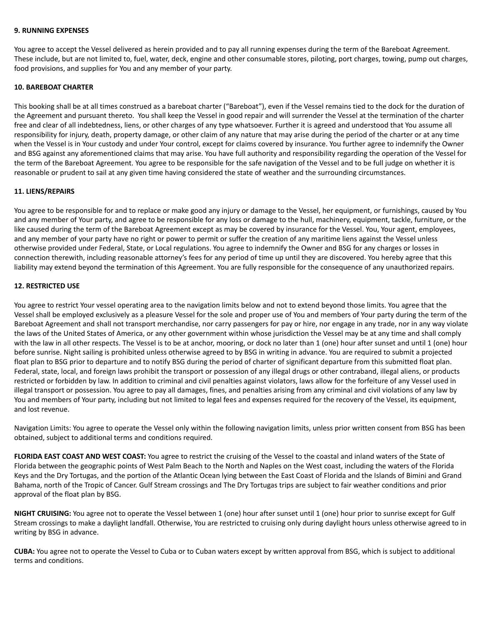#### **9. RUNNING EXPENSES**

You agree to accept the Vessel delivered as herein provided and to pay all running expenses during the term of the Bareboat Agreement. These include, but are not limited to, fuel, water, deck, engine and other consumable stores, piloting, port charges, towing, pump out charges, food provisions, and supplies for You and any member of your party.

#### **10. BAREBOAT CHARTER**

This booking shall be at all times construed as a bareboat charter ("Bareboat"), even if the Vessel remains tied to the dock for the duration of the Agreement and pursuant thereto. You shall keep the Vessel in good repair and will surrender the Vessel at the termination of the charter free and clear of all indebtedness, liens, or other charges of any type whatsoever. Further it is agreed and understood that You assume all responsibility for injury, death, property damage, or other claim of any nature that may arise during the period of the charter or at any time when the Vessel is in Your custody and under Your control, except for claims covered by insurance. You further agree to indemnify the Owner and BSG against any aforementioned claims that may arise. You have full authority and responsibility regarding the operation of the Vessel for the term of the Bareboat Agreement. You agree to be responsible for the safe navigation of the Vessel and to be full judge on whether it is reasonable or prudent to sail at any given time having considered the state of weather and the surrounding circumstances.

#### **11. LIENS/REPAIRS**

You agree to be responsible for and to replace or make good any injury or damage to the Vessel, her equipment, or furnishings, caused by You and any member of Your party, and agree to be responsible for any loss or damage to the hull, machinery, equipment, tackle, furniture, or the like caused during the term of the Bareboat Agreement except as may be covered by insurance for the Vessel. You, Your agent, employees, and any member of your party have no right or power to permit or suffer the creation of any maritime liens against the Vessel unless otherwise provided under Federal, State, or Local regulations. You agree to indemnify the Owner and BSG for any charges or losses in connection therewith, including reasonable attorney's fees for any period of time up until they are discovered. You hereby agree that this liability may extend beyond the termination of this Agreement. You are fully responsible for the consequence of any unauthorized repairs.

## **12. RESTRICTED USE**

You agree to restrict Your vessel operating area to the navigation limits below and not to extend beyond those limits. You agree that the Vessel shall be employed exclusively as a pleasure Vessel for the sole and proper use of You and members of Your party during the term of the Bareboat Agreement and shall not transport merchandise, nor carry passengers for pay or hire, nor engage in any trade, nor in any way violate the laws of the United States of America, or any other government within whose jurisdiction the Vessel may be at any time and shall comply with the law in all other respects. The Vessel is to be at anchor, mooring, or dock no later than 1 (one) hour after sunset and until 1 (one) hour before sunrise. Night sailing is prohibited unless otherwise agreed to by BSG in writing in advance. You are required to submit a projected float plan to BSG prior to departure and to notify BSG during the period of charter of significant departure from this submitted float plan. Federal, state, local, and foreign laws prohibit the transport or possession of any illegal drugs or other contraband, illegal aliens, or products restricted or forbidden by law. In addition to criminal and civil penalties against violators, laws allow for the forfeiture of any Vessel used in illegal transport or possession. You agree to pay all damages, fines, and penalties arising from any criminal and civil violations of any law by You and members of Your party, including but not limited to legal fees and expenses required for the recovery of the Vessel, its equipment, and lost revenue.

Navigation Limits: You agree to operate the Vessel only within the following navigation limits, unless prior written consent from BSG has been obtained, subject to additional terms and conditions required.

**FLORIDA EAST COAST AND WEST COAST:** You agree to restrict the cruising of the Vessel to the coastal and inland waters of the State of Florida between the geographic points of West Palm Beach to the North and Naples on the West coast, including the waters of the Florida Keys and the Dry Tortugas, and the portion of the Atlantic Ocean lying between the East Coast of Florida and the Islands of Bimini and Grand Bahama, north of the Tropic of Cancer. Gulf Stream crossings and The Dry Tortugas trips are subject to fair weather conditions and prior approval of the float plan by BSG.

**NIGHT CRUISING:** You agree not to operate the Vessel between 1 (one) hour after sunset until 1 (one) hour prior to sunrise except for Gulf Stream crossings to make a daylight landfall. Otherwise, You are restricted to cruising only during daylight hours unless otherwise agreed to in writing by BSG in advance.

**CUBA:** You agree not to operate the Vessel to Cuba or to Cuban waters except by written approval from BSG, which is subject to additional terms and conditions.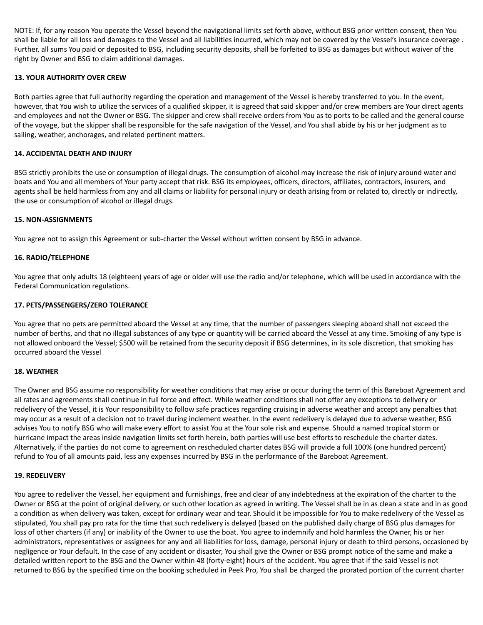NOTE: If, for any reason You operate the Vessel beyond the navigational limits set forth above, without BSG prior written consent, then You shall be liable for all loss and damages to the Vessel and all liabilities incurred, which may not be covered by the Vessel's insurance coverage . Further, all sums You paid or deposited to BSG, including security deposits, shall be forfeited to BSG as damages but without waiver of the right by Owner and BSG to claim additional damages.

## **13. YOUR AUTHORITY OVER CREW**

Both parties agree that full authority regarding the operation and management of the Vessel is hereby transferred to you. In the event, however, that You wish to utilize the services of a qualified skipper, it is agreed that said skipper and/or crew members are Your direct agents and employees and not the Owner or BSG. The skipper and crew shall receive orders from You as to ports to be called and the general course of the voyage, but the skipper shall be responsible for the safe navigation of the Vessel, and You shall abide by his or her judgment as to sailing, weather, anchorages, and related pertinent matters.

## **14. ACCIDENTAL DEATH AND INJURY**

BSG strictly prohibits the use or consumption of illegal drugs. The consumption of alcohol may increase the risk of injury around water and boats and You and all members of Your party accept that risk. BSG its employees, officers, directors, affiliates, contractors, insurers, and agents shall be held harmless from any and all claims or liability for personal injury or death arising from or related to, directly or indirectly, the use or consumption of alcohol or illegal drugs.

#### **15. NON-ASSIGNMENTS**

You agree not to assign this Agreement or sub-charter the Vessel without written consent by BSG in advance.

## **16. RADIO/TELEPHONE**

You agree that only adults 18 (eighteen) years of age or older will use the radio and/or telephone, which will be used in accordance with the Federal Communication regulations.

## **17. PETS/PASSENGERS/ZERO TOLERANCE**

You agree that no pets are permitted aboard the Vessel at any time, that the number of passengers sleeping aboard shall not exceed the number of berths, and that no illegal substances of any type or quantity will be carried aboard the Vessel at any time. Smoking of any type is not allowed onboard the Vessel; \$500 will be retained from the security deposit if BSG determines, in its sole discretion, that smoking has occurred aboard the Vessel

#### **18. WEATHER**

The Owner and BSG assume no responsibility for weather conditions that may arise or occur during the term of this Bareboat Agreement and all rates and agreements shall continue in full force and effect. While weather conditions shall not offer any exceptions to delivery or redelivery of the Vessel, it is Your responsibility to follow safe practices regarding cruising in adverse weather and accept any penalties that may occur as a result of a decision not to travel during inclement weather. In the event redelivery is delayed due to adverse weather, BSG advises You to notify BSG who will make every effort to assist You at the Your sole risk and expense. Should a named tropical storm or hurricane impact the areas inside navigation limits set forth herein, both parties will use best efforts to reschedule the charter dates. Alternatively, if the parties do not come to agreement on rescheduled charter dates BSG will provide a full 100% (one hundred percent) refund to You of all amounts paid, less any expenses incurred by BSG in the performance of the Bareboat Agreement.

#### **19. REDELIVERY**

You agree to redeliver the Vessel, her equipment and furnishings, free and clear of any indebtedness at the expiration of the charter to the Owner or BSG at the point of original delivery, or such other location as agreed in writing. The Vessel shall be in as clean a state and in as good a condition as when delivery was taken, except for ordinary wear and tear. Should it be impossible for You to make redelivery of the Vessel as stipulated, You shall pay pro rata for the time that such redelivery is delayed (based on the published daily charge of BSG plus damages for loss of other charters (if any) or inability of the Owner to use the boat. You agree to indemnify and hold harmless the Owner, his or her administrators, representatives or assignees for any and all liabilities for loss, damage, personal injury or death to third persons, occasioned by negligence or Your default. In the case of any accident or disaster, You shall give the Owner or BSG prompt notice of the same and make a detailed written report to the BSG and the Owner within 48 (forty-eight) hours of the accident. You agree that if the said Vessel is not returned to BSG by the specified time on the booking scheduled in Peek Pro, You shall be charged the prorated portion of the current charter